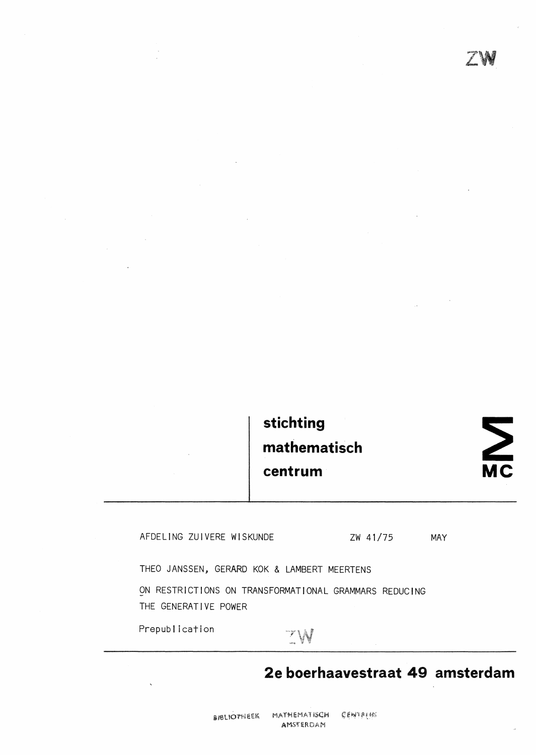## **stichting mathematisch centrum**

# $\sum$

AFDELING ZUIVERE WISKUNDE zw 41/75

MAY

THEO JANSSEN, GERARD KOK & LAMBERT MEERTENS

ON RESTRICTIONS ON TRANSFORMATIONAL GRAMMARS REDUCING THE GENERATIVE POWER

Prepublication

## $7\,\mathrm{W}$

## **2e boerhaavestraat 49 amsterdam**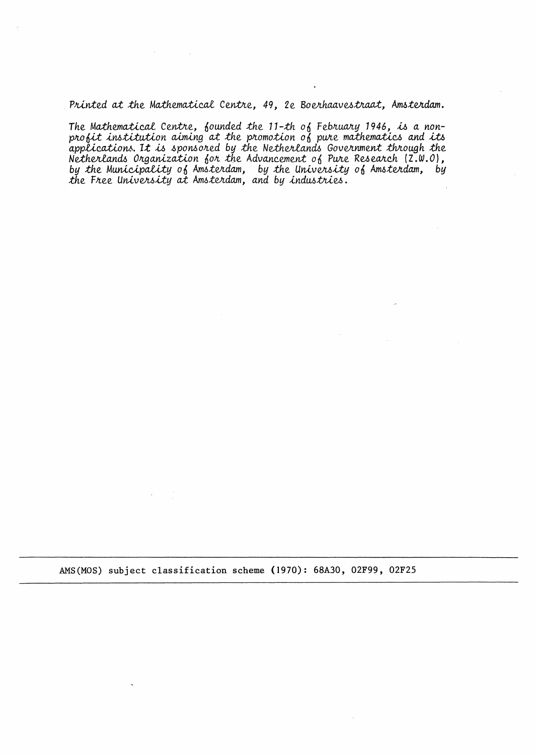*Printed at the Mathematical Centre, 49, 2e Boerhaavestraat, Amsterdam.* 

The Mathematical Centre, founded the 11-th of February 1946, *is* a non-<br>profit institution aiming at the promotion of pure mathematics and its *a.ppUc.a.:ti.oYl-6. 1.t ,u, .6pon601Led by* .the *Ne.theJr1.a.nd6 GoveJr.nmen.t :th/Lough* .the *Netherlands Organization for the Advancement 0f Pure Research (Z.W.O),* by *t*he Municipality of Amsterdam, by the University of Amsterdam, by the Free University at Amsterdam, and by *industries*.

AMS(MOS) subject classification scheme (1970): 68A30, 02F99, 02F25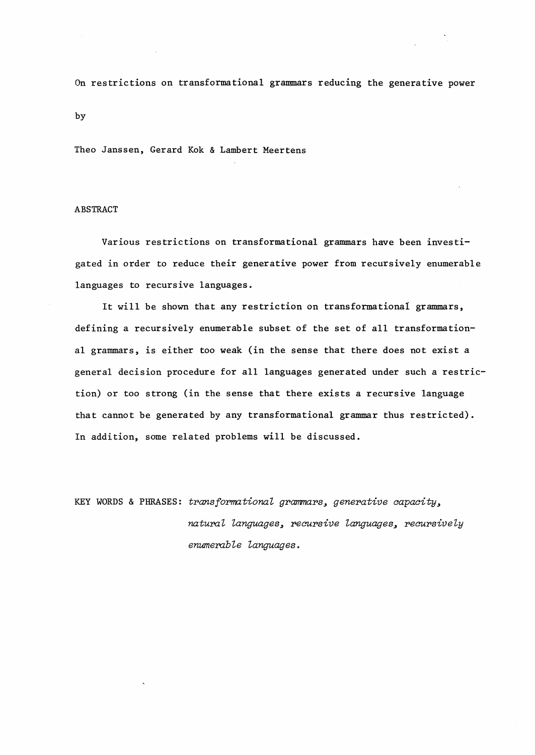On restrictions on transformational grammars reducing the generative power

Theo Janssen, Gerard Kok & Lambert Meertens

#### ABSTRACT

by

Various restrictions on transformational grammars have been investigated in order to reduce their generative power from recursively enumerable languages to recursive languages.

It will be shown that any restriction on transformational grammars, defining a recursively enumerable subset of the set of all transformational grammars, is either too weak (in the sense that there does not exist a general decision procedure for all languages generated under such a restriction) or too strong (in the sense that there exists a recursive language that cannot be generated by any transformational grammar thus restricted). In addition, some related problems will be discussed.

KEY WORDS & PHRASES: *transformational grammars*, *generative capacity*, matural languages, recursive languages, recursively *enumemble languages.*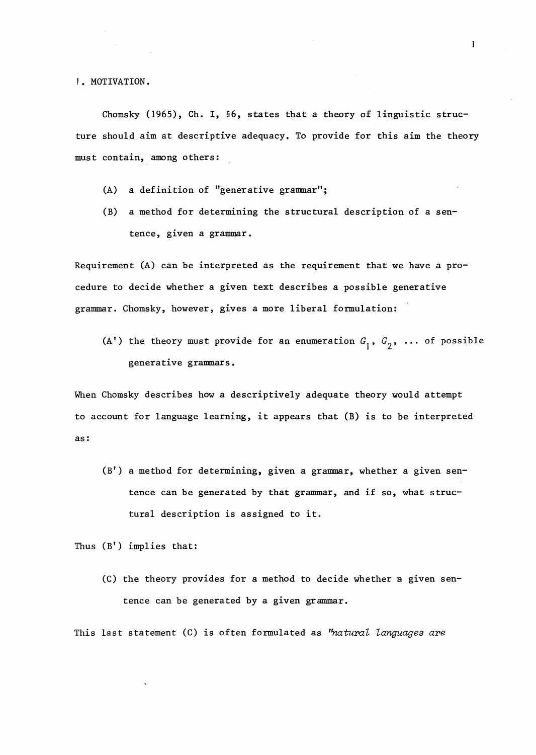1. MOTIVATION.

Chomsky (1965), Ch. I,  $66$ , states that a theory of linguistic structure should aim at descriptive adequacy. To provide for this aim the theory must contain, among others:

- (A) a definition of "generative granmar";
- (B) a method for determining the structural description of a sentence, given a grammar.

Requirement (A) can be interpreted as the requirement that we have a procedure to decide whether a given text describes a possible generative grannnar. Chomsky, however, gives a more liberal formulation:

(A') the theory must provide for an enumeration  $G_1$ ,  $G_2$ , ... of possible generative grammars.

When Chomsky describes how a descriptively adequate theory would attempt to account for language learning, it appears that (B) is to be interpreted as:

 $(B')$  a method for determining, given a grammar, whether a given sentence can be generated by that grammar, and if so, what structural description is assigned to it.

Thus (B') implies that:

(C) the theory provides for a method to decide whether a given sentence can be generated by a given grammar.

This last statement (C) is often formulated as "natural languages are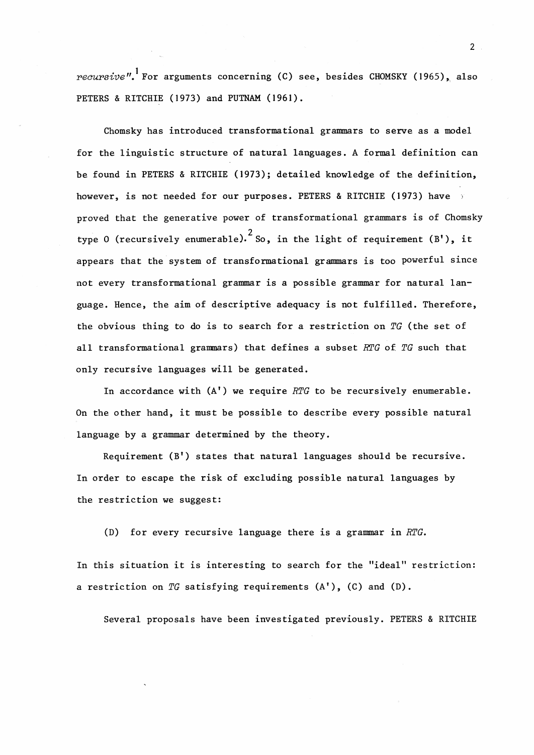*recursive"*. For arguments concerning (C) see, besides CHOMSKY (1965), also PETERS & RITCHIE (1973) and PUTNAM (1961).

Chomsky has introduced transformational grammars to serve as a model for the linguistic structure of natural languages. A formal definition can be found in PETERS & RITCHIE (1973); detailed knowledge of the definition, however, is not needed for our purposes. PETERS & RITCHIE (1973) have proved that the generative power of transformational grammars is of Chomsky type 0 (recursively enumerable). So, in the light of requirement (B'), it appears that the system of transformational grammars is too powerful since not every transformational grammar is a possible grammar for natural language. Hence, the aim of descriptive adequacy is not fulfilled. Therefore, the obvious thing to do is to search for a restriction on *TG* (the set of all transformational granmars) that defines a subset *RTG* of *TG* such that only recursive languages will be generated.

In accordance with (A') we require *RTG* to be recursively enumerable. On the other hand, it must be possible to describe every possible natural language by a grammar determined by the theory.

Requirement (B') states that natural languages should be recursive. In order to escape the risk of excluding possible natural languages by the restriction we suggest:

(D) for every recursive language there is a grammar in *RTG.* 

In this situation it is interesting to search for the "ideal" restriction: a restriction on *TG* satisfying requirements (A'), (C) and (D).

Several proposals have been investigated previously. PETERS & RITCHIE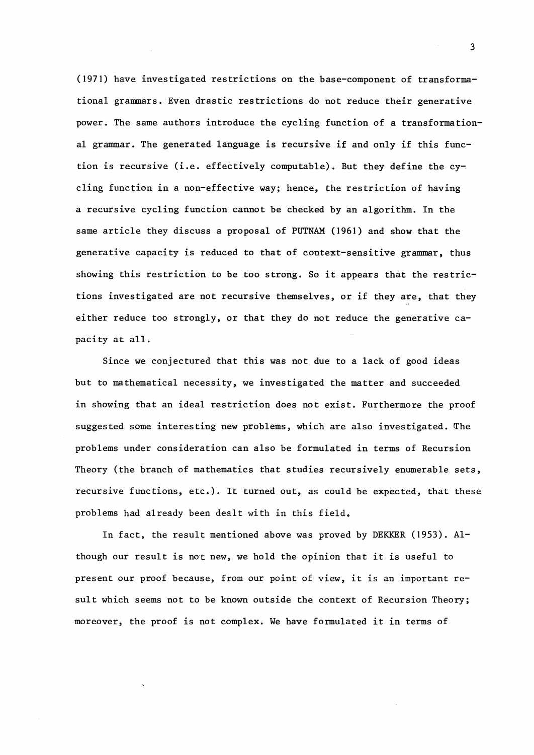(1971) have investigated restrictions on the base-component of transformational grannnars. Even drastic restrictions do not reduce their generative power. The same authors introduce the cycling function of a transformational grammar. The generated language is recursive if and only if this function is recursive (i.e. effectively computable). But they define the cycling function in a non-effective way; hence, the restriction of having a recursive cycling function cannot be checked by an algorithm. In the same article they discuss a proposal of PUTNAM (1961) and show that the generative. capacity is reduced to that of context-sensitive grammar, thus showing this restriction to be too strong. So it appears that the restrictions investigated are not recursive themselves, or if they are, that they either reduce too strongly, or that they do not reduce the generative capacity at all.

Since we conjectured that this was not due to a lack of good ideas but to mathematical necessity, we investigated the matter and succeeded in showing that an ideal restriction does not exist. Furthermore the proof suggested some interesting new problems, which are also investigated. The problems under consideration can also be formulated in terms of Recursion Theory (the branch of mathematics that studies recursively enumerable sets, recursive functions, etc.). It turned out, as could be expected, that these problems had already been dealt with in this field.

In fact, the result mentioned above was proved by DEKKER (1953). Although our result is not new, we hold the opinion that it is useful to present our proof because, from our point of view, it is an important result which seems not to be known outside the context of Recursion Theory; moreover, the proof is not complex. We have formulated it in terms of

3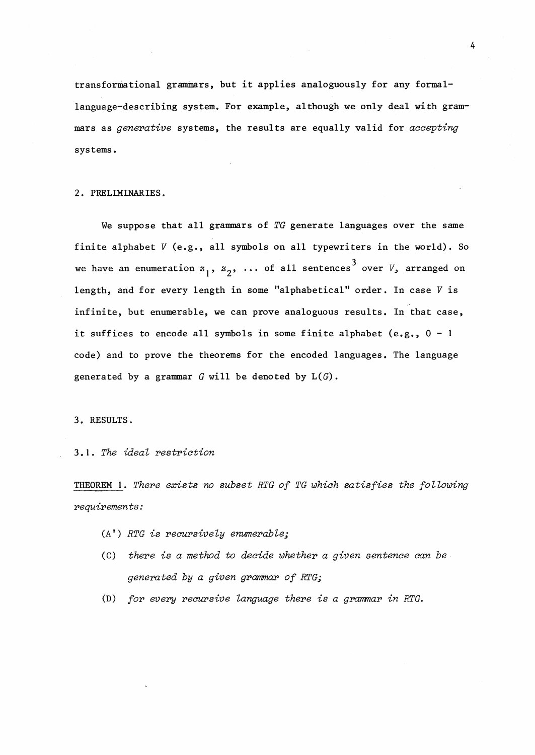transformational grammars, but it applies analoguously for any formallanguage-describing system. For example, although we only deal with grammars as *generative* systems, the results are equally valid for *accepting*  systems.

#### 2. PRELIMINARIES.

We suppose that all grammars of *TG* generate languages over the same finite alphabet *V* (e.g., all symbols on all typewriters in the world). So we have an enumeration  $z_1$ ,  $z_2$ ,  $\ldots$  of all sentences<sup>3</sup> over  $V$ , arranged on length, and for every length in some "alphabetical" order. In case V is infinite, but enumerable, we can prove analoguous results. In that case, it suffices to encode all symbols in some finite alphabet (e.g.,  $0 - 1$ code) and to prove the theorems for the encoded languages. The language generated by a grammar *G* will be denoted by L(G).

3. RESULTS.

3.1. *The ideal restriction* 

THEOREM 1. *There* exists *no subset RTG of TG which satisfies the following requirements:* 

- (A') *RTG* is *recursively enumerable;*
- (C) *there* is *a method to decide whether a given sentence aan be generated by a given grammar of RTG;*
- (D) for every recursive language there is a grammar in RTG.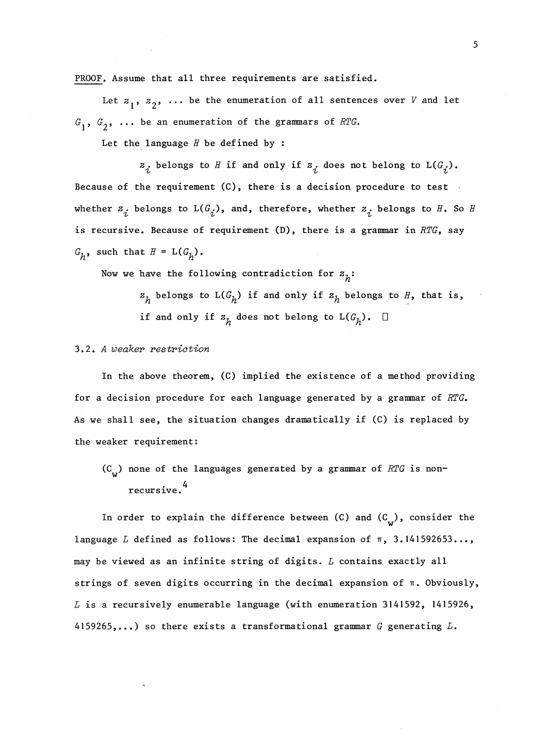PROOF. Assume that all three requirements are satisfied.

Let  $z_1$ ,  $z_2$ ,  $\ldots$  be the enumeration of all sentences over *V* and let  $G_1$ ,  $G_2$ , ... be an enumeration of the grammars of *RTG*.

Let the language  $H$  be defined by :

 $z_i$  belongs to *H* if and only if  $z_i$  does not belong to  $L(G_i)$ . Because of the requirement (C), there is a decision procedure to test whether  $z_{\vec{\,\,i}}$  belongs to  $\tt L(G_{\vec{\,\,i}})$ , and, therefore, whether  $z_{\vec{\,\,i}}$  belongs to  $H$ . So  $H$ is recursive. Because of requirement (D), there is a grammar in *RTG,* say  $G_h$ , such that  $H = L(G_h)$ .

Now we have the following contradiction for  $z_{h}$ :

 $z_h$  belongs to  $L(G_h)$  if and only if  $z_h$  belongs to *H*, that is, if and only if  $z_{h}$  does not belong to  $L(G_{h})$ .  $\square$ 

#### 3.2. A weaker restriction

In the above theorem, (C) implied the existence of a method providing for a decision procedure for each language generated by a grammar of *RTG.*  As we shall see, the situation changes dramatically if (C) is replaced by the weaker requirement:

(C) none of the languages generated by a grannnar of *RTG* is non-**w**  . 4 recursive.

In order to explain the difference between (C) and  $(C_{\widetilde{\textbf{w}}} )$ , consider the language *L* defined as follows: The decimal expansion of  $\pi$ , 3.141592653..., may be viewed as an infinite string of digits. *L* contains exactly all strings of seven digits occurring in the decimal expansion of n. Obviously,  $L$  is a recursively enumerable language (with enumeration 3141592, 1415926, 4159265, ••• ) so there exists a transformational grammar *G* generating *L.*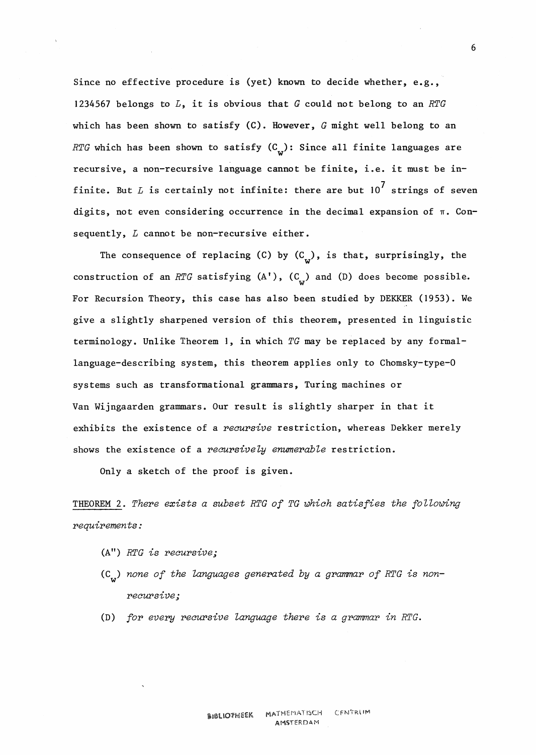Since no effective procedure is (yet) known to decide whether, e.g., 1234567 belongs to *L,* it is obvious that *G* could not belong to an *RTG*  which has been shown to satisfy (C). However, *G* might well belong to an *RTG* which has been shown to satisfy (C<sub>w</sub>): Since all finite languages are recursive, a non-recursive language cannot be finite, i.e. it must be infinite. But  $L$  is certainly not infinite: there are but  $10^7$  strings of seven digits, not even considering occurrence in the decimal expansion of  $\pi$ . Consequently, *L* cannot be non-recursive either.

The consequence of replacing (C) by  $(C_w)$ , is that, surprisingly, the construction of an *RTG* satisfying  $(A')$ ,  $(C_{n})$  and  $(D)$  does become possible. For Recursion Theory, this case has also been studied by DEKKER (1953). We give a slightly sharpened version of this theorem, presented in linguistic terminology. Unlike Theorem l, in which *TG* may be replaced by any formallanguage-describing system, this theorem applies only to Chomsky-type-0 systems such as transformational grammars, Turing machines or Van Wijngaarden grammars. Our result is slightly sharper in that it exhibits the existence of a *recursive* restriction, whereas Dekker merely shows the existence of a *reaursively enwnerable* restriction.

Only a sketch of the proof **is given.** 

THEOREM 2. *There exists a subset RTG of TG which satisfies the following requirements:* 

- (A") *RTG is recursive;*
- (C<sub>w</sub>) none of the languages generated by a grammar of RTG is non*recursive;*
- (D) *for evepY recursive language there is a grammar in RTG.*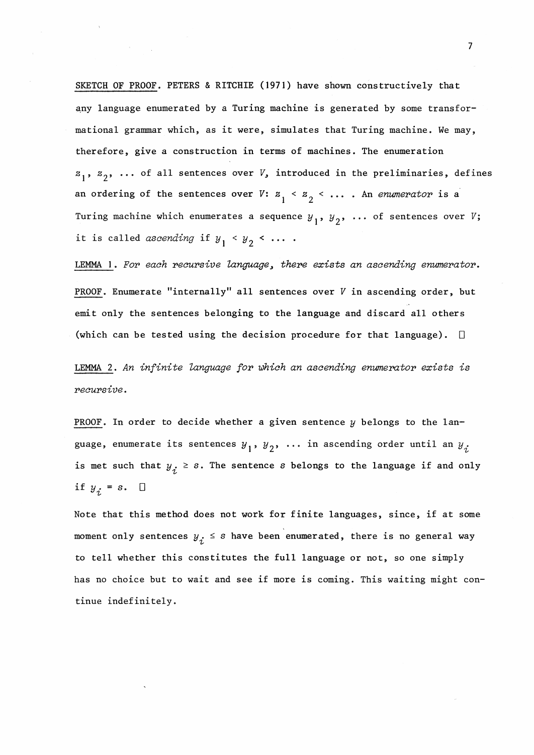SKETCH OF PROOF. PETERS & RITCHIE (1971) have shown constructively that any language enumerated by a Turing machine is generated by some transformational grannnar which, as it were, simulates that Turing machine. We may, therefore, give a construction in terms of machines. The enumeration  $z_1$ ,  $z_2$ , ... of all sentences over *V*, introduced in the preliminaries, defines an ordering of the sentences over *V*:  $z_1$  <  $z_2$  < ... An *enumerator* is a Turing machine which enumerates a sequence  $y_1$ ,  $y_2$ , ... of sentences over  $V$ ; it is called *ascending* if  $y_1 < y_2 < ...$ .

LEMMA I. *For each recursive language, there exists an ascending enwnerator.*  PROOF. Enumerate "internally" all sentences over  $V$  in ascending order, but emit only the sentences belonging to the language and discard all others (which can be tested using the decision procedure for that language).  $\square$ 

LEMMA 2 • An *infinite language for which an ascending enwnerotor exists is recursive.* 

PROOF. In order to decide whether a given sentence  $y$  belongs to the language, enumerate its sentences  $y_1$ ,  $y_2$ , ... in ascending order until an  $y_j$ is met such that  $y_i \geq s$ . The sentence s belongs to the language if and only if  $y_i = s$ .  $\Box$ 

Note that this method does not work for finite languages, since, if at some moment only sentences  $y_i \leq s$  have been enumerated, there is no general way to tell whether this constitutes the full language or not, so one simply has no choice but to wait and see if more is coming. This waiting might continue indefinitely.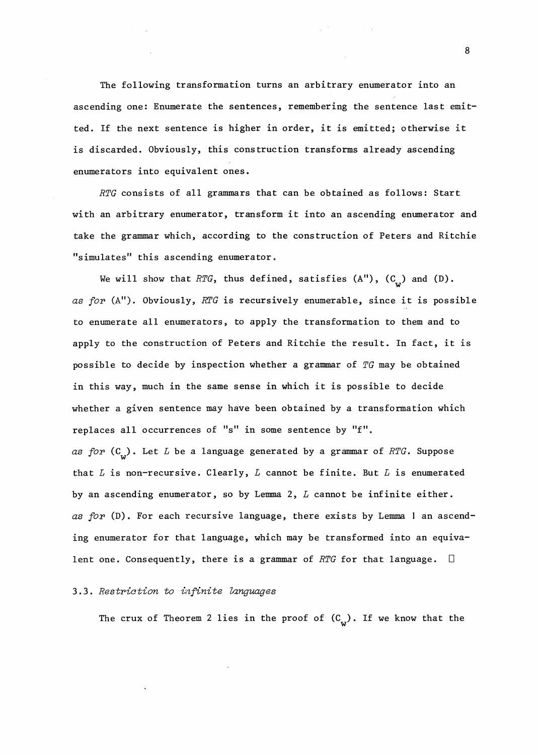The following transformation turns an arbitrary enumerator into an ascending one: Enumerate the sentences, remembering the sentence last emitted. If the next sentence is higher in order, it is emitted; otherwise it is discarded. Obviously, this construction transforms already ascending enumerators into equivalent ones.

*RTG* consists of all grammars that can be obtained as follows: Start with an arbitrary enumerator, transform it into an ascending enumerator and take the grammar which, according to the construction of Peters and Ritchie "simulates" this ascending enumerator.

We will show that *RTG*, thus defined, satisfies  $(A'')$ ,  $(C_{\overline{u}})$  and  $(D)$ . *as for* (A"). Obviously, *RI'G* is recursively enumerable, since it is possible to enumerate all enumerators, to apply the transformation to them and to apply to the construction of Peters and Ritchie the result. In fact, it is possible to decide by inspection whether a grannnar of *TG* may be obtained in this way, much in the same sense in which it is possible to decide whether a given sentence may have been obtained by a transformation which replaces all occurrences of "s" in some sentence by "f". *as for*  $(C_{\text{tr}})$ . Let *L* be a language generated by a grammar of *RTG*. Suppose that  $L$  is non-recursive. Clearly,  $L$  cannot be finite. But  $L$  is enumerated by an ascending enumerator, so by Lemma 2, *L* cannot be infinite either. *as for* (D). For each recursive language, there exists by Lemma I an ascending enumerator for that language, which may be transformed into an equivalent one. Consequently, there is a grammar of *RTG* for that language. D

#### 3. 3. *Restriction to infinite lo.ngua.ges*

The crux of Theorem 2 lies in the proof of  $(C_{\substack{w}})$ . If we know that the

8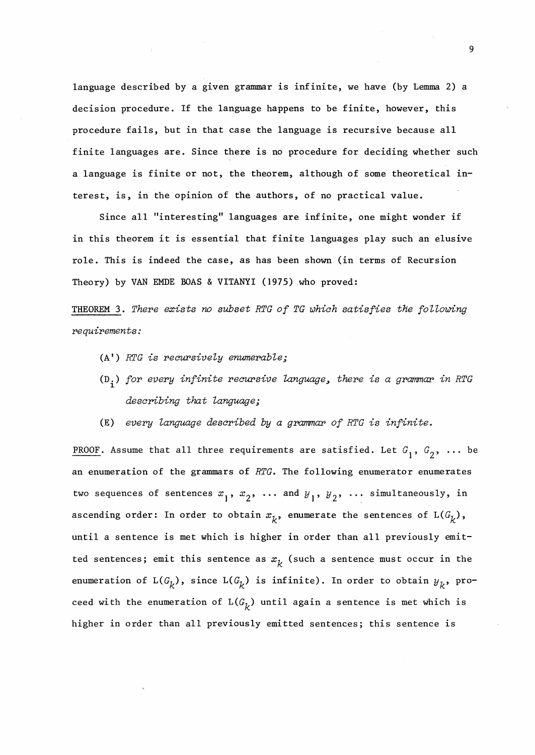language described by a given grammar is infinite, we have (by Lemma 2) a decision procedure. If the language happens to be finite, however, this procedure fails, but in that case the language is recursive because all finite languages are. Since there is no procedure for deciding whether such a language is finite or not, the theorem, although of some theoretical interest, is, in the opinion of the authors, of no practical value.

Since all "interesting" languages are infinite, one might wonder if in this theorem it is essential that finite languages play such an elusive role. This is indeed the case, as has been shown (in terms of Recursion **Theory) by VAN EMDE BOAS** & **VITANYI (1975) ,who proved:** 

THEOREM 3. There exists no subset RTG of TG which satisfies the following *requirements:* 

- (A') *RTG is reoursiveZy enumerabZe;*
- $(D_i)$  for every infinite recursive language, there is a grammar in RTG *describing that language;*
- (E) *every language described by a grammar of RTG is infinite.*

PROOF. Assume that all three requirements are satisfied. Let  $G_1$ ,  $G_2$ , ... be an enumeration of the grammars of *RTG.* The following enumerator enumerates two sequences of sentences  $x_1$ ,  $x_2$ ,  $\ldots$  and  $y_1$ ,  $y_2$ ,  $\ldots$  simultaneously, in ascending order: In order to obtain  $x_k$ , enumerate the sentences of  $L(G_k)$ , until a sentence is met which is higher in order than all previously emitted sentences; emit this sentence as  $x_k$  (such a sentence must occur in the enumeration of  $L(G_k)$ , since  $L(G_k)$  is infinite). In order to obtain  $y_k$ , proceed with the enumeration of  $L(G_k)$  until again a sentence is met which is higher in order than all previously emitted sentences; this sentence is

9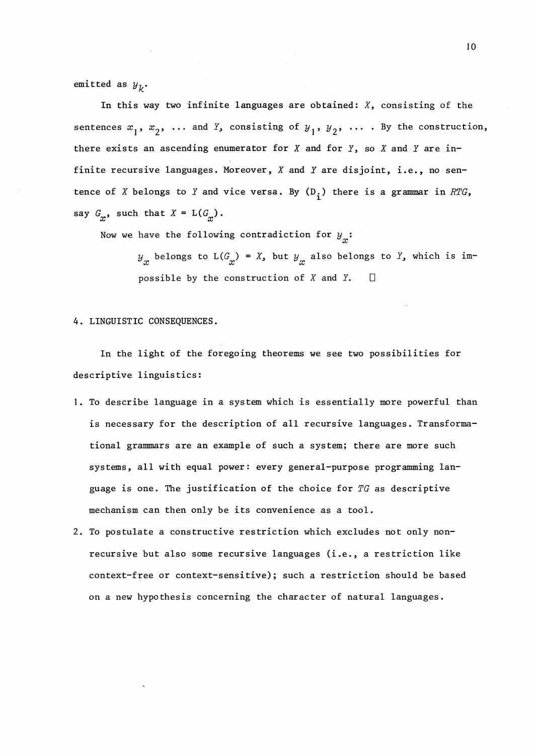emitted as  $y_k$ .

In this way two infinite languages are obtained: *X,* consisting of the sentences  $x_1$ ,  $x_2$ ,  $\ldots$  and *Y*, consisting of  $y_1$ ,  $y_2$ ,  $\ldots$  . By the construction, there exists an ascending enumerator for *X* and for *Y,* so *X* and *Y* are infinite recursive languages. Moreover, X and Y are disjoint, i.e., no sentence of *X* belongs to *Y* and vice versa. By  $(D_i)$  there is a grammar in *RTG*, say  $G_{\gamma}$ , such that  $X = L(G_{\gamma})$ .

Now we have the following contradiction for  $y_{\stackrel{\ }{x}}\colon$ 

 $y_x$  belongs to  $L(G_x) = X$ , but  $y_x$  also belongs to  $Y$ , which is impossible by the construction of  $X$  and  $Y$ .  $\square$ 

4. LINGUISTIC CONSEQUENCES.

In the light of the foregoing theorems we see two possibilities for descriptive linguistics:

- l. To describe language in a system which is essentially more powerful than is necessary for the description of all recursive languages. Transformational grannnars are an example of such a system; there are more such systems, all with equal power: every general-purpose programming language is one. The justification of the choice for *TG* as descriptive mechanism can then only be its convenience as a tool.
- 2. To postulate a constructive restriction which excludes not only nonrecursive but also some recursive languages (i.e., a restriction like context-free or context-sensitive); such a restriction should be based on a new hypothesis concerning the character of natural languages.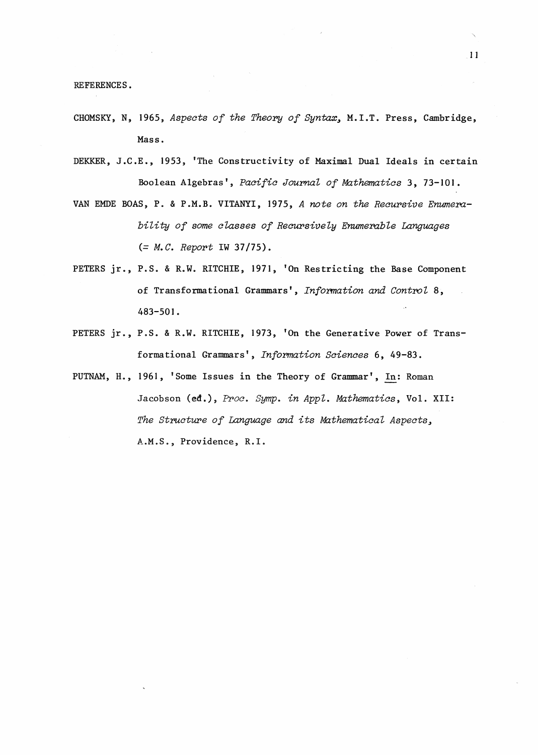REFERENCES.

- CHOMSKY, N, 1965, *Aspects of the Theory of Syntax*, M.I.T. Press, Cambridge, Mass.
- DEKKER, J.C.E., 1953, 'The Constructivity of Maximal Dual Ideals in certain Boolean Algebras', *Pacific Journal of Mathematics* 3, 73-101.
- VAN EMDE BOAS, P. & P.M.B. VITANYI, 1975, *A note on the Recursive Enumembility of some classes of Recursively Enumerable Languages (= M.C. Report* IW 37/75).
- PETERS jr., P.S. & R.W. RITCHIE, 1971, 'On Restricting the Base Component of Transformational Grammars', *Information and Control* 8, 483-501.
- PETERS jr., P.S. & R.W. RITCHIE, 1973, 'On the Generative Power of Transformational Grammars', *Information Sciences* 6, 49-83.
- PUTNAM, H., 1961, 'Some Issues in the Theory of Grammar', In: Roman Jacobson (ed.), *Proc. Symp. in Appl. Mathematics,* Vol. XII: The Structure of Language and its Mathematical Aspects, A.M.S., Providence, R.I.